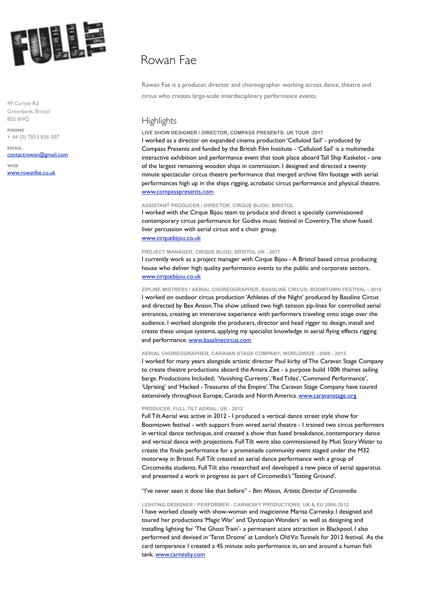

49 Carlyle Rd Greenbank, Bristol BS5 6HQ

**PHONE** + 44 (0) 7853 836 007

**EMAIL** [contactrowan@gmail.com](mailto:contactrowan@gmail.com)

**WEB** [www.rowanfae.co.uk](http://www.rowanfae.co.uk)

# Rowan Fae

Rowan Fae is a producer, director and choreographer working across dance, theatre and circus who creates large-scale interdisciplinary performance events.

## **Highlights**

#### **LIVE SHOW DESIGNER / DIRECTOR, COMPASS PRESENTS; UK TOUR -2017**

I worked as a director on expanded cinema production 'Celluloid Sail' - produced by Compass Presents and funded by the British Film Institute - 'Celluloid Sail' is a multimedia interactive exhibition and performance event that took place aboard Tall Ship Kaskelot - one of the largest remaining wooden ships in commission. I designed and directed a twenty minute spectacular circus theatre performance that merged archive film footage with aerial performances high up in the ships rigging, acrobatic circus performance and physical theatre. [www.compasspresents.com](http://www.compasspresents.com)

#### **ASSISTANT PRODUCER / DIRECTOR, CIRQUE BIJOU; BRISTOL**

I worked with the Cirque Bijou team to produce and direct a specially commissioned contemporary circus performance for Godiva music festival in Coventry. The show fused liver percussion with aerial circus and a choir group. [www.cirquebijou.co.uk](http://www.cirquebijou.co.uk)

#### **[PROJECT MANAGER, CIR](http://www.cirquebijou.co.uk)QUE BIJOU; BRISTOL UK - 2017**

I currently work as a project manager with Cirque Bijou - A Bristol based circus producing house who deliver high quality performance events to the public and corporate sectors. [www.cirquebijou.co.uk](http://www.cirquebijou.co.uk)

**[ZIPLINE MISTRESS / AER](http://www.cirquebijou.co.uk)IAL CHOREOGRAPHER, BASSLINE CIRCUS; BOOMTOWN FESTIVAL - 2016** I worked on outdoor circus production 'Athletes of the Night' produced by Bassline Circus and directed by Bex Anson. The show utilised two high tension zip-lines for controlled aerial entrances, creating an immersive experience with performers traveling onto stage over the audience. I worked alongside the producers, director and head rigger to design, install and create these unique systems, applying my specialist knowledge in aerial flying effects rigging and performance. [www.basslinecircus.com](http://www.basslinecircus.com)

#### **AERIAL CHOREOGRAPHER, CARAVAN STAGE COMPANY; WORLDWIDE - 2006 - 2015**

I worked for many years alongside artistic director Paul kirby of The Caravan Stage Company to create theatre productions aboard the Amara Zee - a purpose build 100ft thames sailing barge. Productions Included; 'Vanishing Currents', 'Red Tides', 'Command Performance', 'Uprising' and 'Hacked - Treasures of the Empire'. The Caravan Stage Company have toured extensively throughout Europe, Canada and North America. [www.caravanstage.org](http://www.caravanstage.org)

#### **PRODUCER, FULL TILT AERIAL; UK - 2012**

Full Tilt Aerial was active in 2012 - I produced a vertical dance street style show for Boomtown festival - with support from wired aerial theatre - I trained two circus performers in vertical dance technique, and created a show that fused breakdance, contemporary dance and vertical dance with projections. Full Tilt were also commissioned by Muti Story Water to create the finale performance for a promenade community event staged under the M32 motorway in Bristol. Full Tilt created an aerial dance performance with a group of Circomedia students. Full Tilt also researched and developed a new piece of aerial apparatus and presented a work in progress as part of Circomedia's 'Testing Ground'.

"I've never seen it done like that before" - *Bim Mason, Artistic Director of Circomedia* 

**LIGHTING DESIGNER / PERFORMER - CARNESKY PRODUCTIONS; UK & EU 2004-2012** I have worked closely with show-woman and magicienne Marisa Carnesky. I designed and toured her productions 'Magic War' and 'Dystopian Wonders' as well as designing and installing lighting for 'The Ghost Train'- a permanent scare attraction in Blackpool. I also performed and devised in 'Tarot Drome' at London's Old Vic Tunnels for 2012 festival. As the card temperance I created a 45 minute solo performance in, on and around a human fish tank. [www.carnesky.com](http://www.carnesky.com)